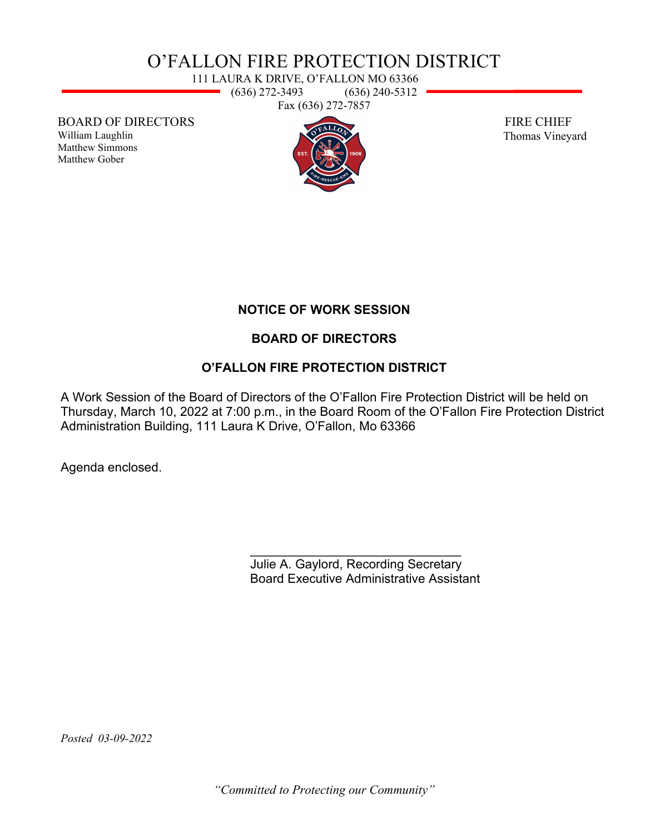# O'FALLON FIRE PROTECTION DISTRICT

111 LAURA K DRIVE, O'FALLON MO 63366  $\rightarrow$  (636) 272-3493 (636) 240-5312 Fax (636) 272-7857

BOARD OF DIRECTORS

William Laughlin Matthew Simmons Matthew Gober



 FIRE CHIEF Thomas Vineyard

## **NOTICE OF WORK SESSION**

## **BOARD OF DIRECTORS**

## **O'FALLON FIRE PROTECTION DISTRICT**

A Work Session of the Board of Directors of the O'Fallon Fire Protection District will be held on Thursday, March 10, 2022 at 7:00 p.m., in the Board Room of the O'Fallon Fire Protection District Administration Building, 111 Laura K Drive, O'Fallon, Mo 63366

Agenda enclosed.

\_\_\_\_\_\_\_\_\_\_\_\_\_\_\_\_\_\_\_\_\_\_\_\_\_\_\_\_\_\_ Julie A. Gaylord, Recording Secretary Board Executive Administrative Assistant

*Posted 03-09-2022* 

*"Committed to Protecting our Community"*